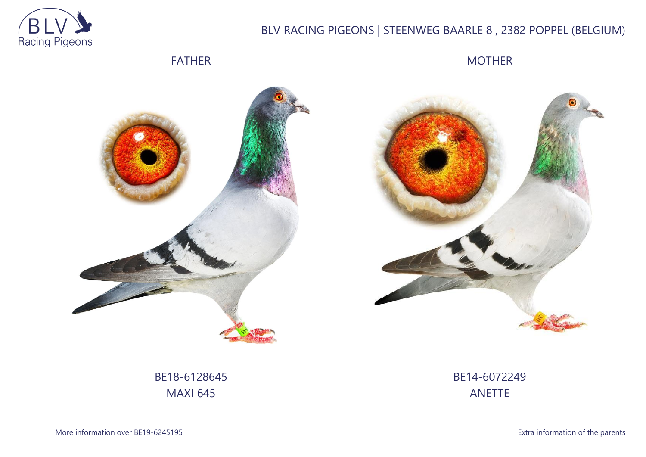

# BLV RACING PIGEONS | STEENWEG BAARLE 8 , 2382 POPPEL (BELGIUM)

## FATHER

MOTHER





BE18-6128645 MAXI 645

BE14-6072249 ANETTE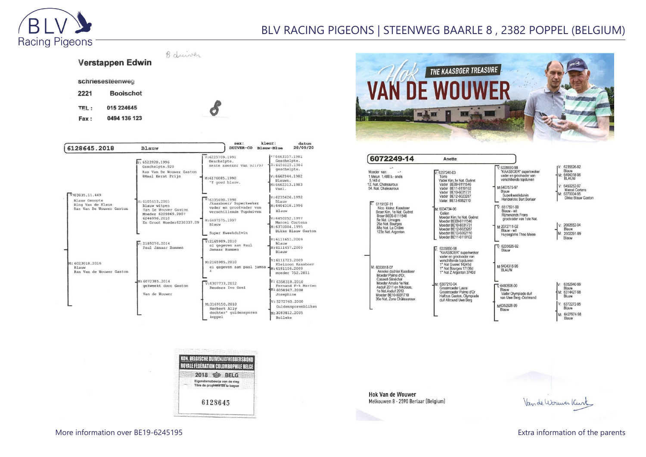

schriesesteenweg

**Booischot** 015 224645

0494 136 123

2221

TEL:

Fax:

## BLV RACING PIGEONS | STEENWEG BAARLE 8 , 2382 POPPEL (BELGIUM)

8 duiver Verstappen Edwin

| 6128645.2018                                                                                                                              | Blauw                                                                                                                       | sex:<br><b>DUIVER-CO</b>                                                    | kleur:<br>datum<br>28/09/20<br>Blauw-Blue                                           |
|-------------------------------------------------------------------------------------------------------------------------------------------|-----------------------------------------------------------------------------------------------------------------------------|-----------------------------------------------------------------------------|-------------------------------------------------------------------------------------|
|                                                                                                                                           | v: 6523920.1996<br>Geschelpte.920<br>Ras Van De Wouwer Gaston<br>8Maal Eerst Prijs                                          | V:6225709.1991<br>Geschelpte.<br>Beste Kweeker van 92:797<br>M:6176085.1990 | V:6463357.1981<br>Geschelpte.<br>4N: 6454025.1984<br>geschelpte.<br>V: 6662944.1982 |
|                                                                                                                                           |                                                                                                                             | 'T goed blauw.                                                              | Blauwe.<br>M: 6662313.1983<br>Vaal.                                                 |
| V:03835.11.449<br>Blauw Genopte<br>Ring Van de Klaus<br>Ras Van De Wouwer Gaston<br>M: 6023018, 2016<br>Blauw<br>Ras Van de Wouwer Gaston | M: 6105653.2005<br>Blauw witpen<br>Van De Wouwer Gaston<br>Moeder 6209869.2007<br>6244096.2010<br>En Groot Moeder6230337.09 | V:6335690.1998<br>/Kaasboer/ Superkweker<br>vader en grootvader van         | V:6235626.1992<br>Blauw<br>M: 6404318, 1996                                         |
|                                                                                                                                           |                                                                                                                             | verschillende Topduiven<br>M:6407575.1997<br>Blauw                          | Blauw<br>V:6450252.1997<br>Marcel Cortens<br>M: 6370004.1995                        |
|                                                                                                                                           |                                                                                                                             | Super Kweekduivin                                                           | Dikke Blauw Gaston                                                                  |
|                                                                                                                                           | $\sqrt{v}$ - 2189276, 2014<br>Paul Jamaar Rummen                                                                            | V:2165989.2010<br>ei gegeven aan Paul<br>Jamaar Rummen                      | V:6111651.2009<br>Blauw<br>M: 6111457, 2009<br>Blauw                                |
|                                                                                                                                           |                                                                                                                             | M:2165985.2010<br>ei gegeven aan paul jamaa $-M: 6181106.2009$<br>r         | V: 6111723.2009<br>Kleizoon Kaasboer<br>moeder 752.2011                             |
|                                                                                                                                           | M: 6072385.2014<br>gekweekt door Gaston<br>Van de Wouwer                                                                    | V:6307733.2012<br>Renders Ivo Geel                                          | V: 6358318.2010<br>Fernand F-k Marien<br>M: 6058947.2008<br>Josephine               |
|                                                                                                                                           |                                                                                                                             | M:3169150.2010<br>Norbert Ally                                              | V: 3272760.2000<br>Guldensporenbliken                                               |
|                                                                                                                                           |                                                                                                                             | dochter' quldensporen<br>koppel                                             | M: 3083812, 2005<br>Bolleke                                                         |

O

KON. BELGISCHE DUIVENLIEFHEBBERSBOI ROYALE FÉDÉRATION COLOMBOPHILE BELGE 2018 \$ BELG Eigendomsbewijs van de ring<br>Titre de propriete de la baque

6128645



| 6072249-14                                                                                                                                                                                                        | Anette                                                                                                                                                                  |                                                                                                                                                                         |                                                                                                                                          |
|-------------------------------------------------------------------------------------------------------------------------------------------------------------------------------------------------------------------|-------------------------------------------------------------------------------------------------------------------------------------------------------------------------|-------------------------------------------------------------------------------------------------------------------------------------------------------------------------|------------------------------------------------------------------------------------------------------------------------------------------|
| Moeder van:<br>1 Melun 1,488 b.- snels<br>5,148 d<br>12. Nat. Chateauroux<br>54. Nat. Chateauroux<br>$\n  W: 6119137-11\n$                                                                                        | $V: 6257240-03$<br>Torre<br>Vader Kim, 1e Nat. Guéret<br>Vader BE09-6111546<br>Vader BE11-6119102<br>Vader BE10-6031731<br>Vader BE12-6023287<br>Vader BE13-6062110     | $V: 6335690-98$<br>"KAASBOER" superkweker<br>vader en grootvader van<br>verschillende topduiven<br>M:6407575-97<br>Blauw<br>Superkweekduivin<br>Henderickx Bart Berlaar | V: 6235626-92<br>Blauw<br>M: 6404318-96<br><b>BLAUW</b><br>V: 6450252-97<br><b>Marcel Cortens</b><br>M: 6370004-95<br>Dikke Blauw Gaston |
| Nico kleinz, Kaasboer<br>Broer Kim, 1e Nat. Guéret<br>Broer BE09-6111546<br>5e Nat. Limoges<br>26e Nat. Bourges<br>88e Nat. La Châtre<br>123e Nat. Argenton                                                       | M: 6034734-06<br>Celien<br>Moeder Kim.1e Nat. Guéret<br>Moeder BE09-6111546<br>Moeder BE10-6031731<br>Moeder BE12-6023287<br>Moeder BE13-6062110<br>Moeder BE11-6119102 | $\nabla$ 6517591-99<br>Blauw - wit<br><b>Rijmenands Frans</b><br>grootvader van 1ste Nat.<br>M:2072711-02<br>Blauw - wit<br>Huysegoms Theo Meise                        | V: 2002652-94<br>Blauw<br>M: 2002291-99<br>Blauw                                                                                         |
| M: 6033018-07<br>Anneke dochter Kaasboer<br>Moeder Palme d'Or.<br>Casaert-Sénéchal<br>Moeder Amalia 1e Nat.<br>Asduif 2011 en Nikolaas,<br>1e Nat.Asduif 2013<br>Moeder BE10-6031710<br>36e Nat. Zone Châteauroux | 6335690-98<br>"KAASBOER" superkweker<br>vader en grootvader van<br>verschillende topduiven<br>1° Nat Gueret 14245d<br>1° Nat Bourges 17138d<br>1° Nat Z Argenton 3740d  | $\overline{V}$ 6235626-92<br>Blauw<br>м-6404318-96<br><b>BLAUW</b>                                                                                                      |                                                                                                                                          |
|                                                                                                                                                                                                                   | M: 6307210-04<br>Grootmoeder Laura<br>Grootmoeder Palme d'Or<br>Halfzus Gaston, Olympiade<br>duif Allround Uwe Berg                                                     | $V.6480508-00$<br>Blauw<br>Vader Olympiade duif<br>van Uwe Berg -Dortmund<br>M6352928-99                                                                                | 6352940-99<br>IV:<br>Blauw<br>M: 6314427-98<br>Bluaw<br>V: 6372272-95                                                                    |
|                                                                                                                                                                                                                   |                                                                                                                                                                         | Blauw                                                                                                                                                                   | Blauw<br>M: 6427974-98<br>Blauw                                                                                                          |

**Hok Van de Wouwer** Melkouwen 8 - 2590 Berlaar (Belgium)

 $\overline{60}$ 

Van de Worwer Kurt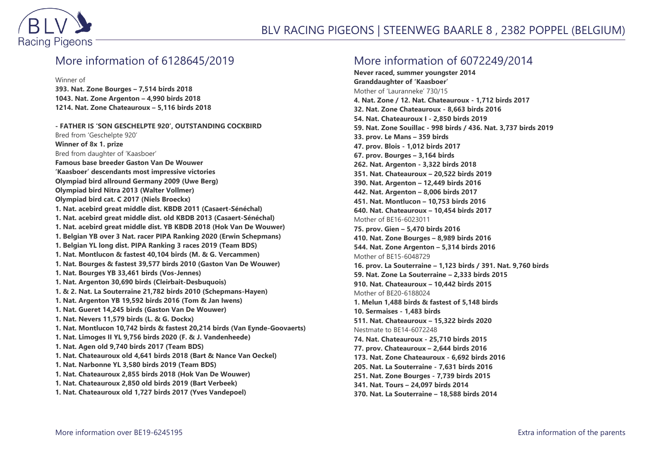

#### More information of 6128645/2019

Winner of

**393. Nat. Zone Bourges – 7,514 birds 2018 1043. Nat. Zone Argenton – 4,990 birds 2018 1214. Nat. Zone Chateauroux – 5,116 birds 2018**

**- FATHER IS 'SON GESCHELPTE 920', OUTSTANDING COCKBIRD** Bred from 'Geschelpte 920' **Winner of 8x 1. prize** Bred from daughter of 'Kaasboer' **Famous base breeder Gaston Van De Wouwer 'Kaasboer' descendants most impressive victories Olympiad bird allround Germany 2009 (Uwe Berg) Olympiad bird Nitra 2013 (Walter Vollmer) Olympiad bird cat. C 2017 (Niels Broeckx) 1. Nat. acebird great middle dist. KBDB 2011 (Casaert-Sénéchal) 1. Nat. acebird great middle dist. old KBDB 2013 (Casaert-Sénéchal) 1. Nat. acebird great middle dist. YB KBDB 2018 (Hok Van De Wouwer) 1. Belgian YB over 3 Nat. racer PIPA Ranking 2020 (Erwin Schepmans) 1. Belgian YL long dist. PIPA Ranking 3 races 2019 (Team BDS) 1. Nat. Montlucon & fastest 40,104 birds (M. & G. Vercammen) 1. Nat. Bourges & fastest 39,577 birds 2010 (Gaston Van De Wouwer) 1. Nat. Bourges YB 33,461 birds (Vos-Jennes) 1. Nat. Argenton 30,690 birds (Cleirbait-Desbuquois) 1. & 2. Nat. La Souterraine 21,782 birds 2010 (Schepmans-Hayen) 1. Nat. Argenton YB 19,592 birds 2016 (Tom & Jan Iwens) 1. Nat. Gueret 14,245 birds (Gaston Van De Wouwer) 1. Nat. Nevers 11,579 birds (L. & G. Dockx) 1. Nat. Montlucon 10,742 birds & fastest 20,214 birds (Van Eynde-Goovaerts) 1. Nat. Limoges II YL 9,756 birds 2020 (F. & J. Vandenheede) 1. Nat. Agen old 9,740 birds 2017 (Team BDS) 1. Nat. Chateauroux old 4,641 birds 2018 (Bart & Nance Van Oeckel) 1. Nat. Narbonne YL 3,580 birds 2019 (Team BDS) 1. Nat. Chateauroux 2,855 birds 2018 (Hok Van De Wouwer) 1. Nat. Chateauroux 2,850 old birds 2019 (Bart Verbeek) 1. Nat. Chateauroux old 1,727 birds 2017 (Yves Vandepoel)**

#### More information of 6072249/2014

**Never raced, summer youngster 2014 Granddaughter of 'Kaasboer'** Mother of 'Lauranneke' 730/15 **4. Nat. Zone / 12. Nat. Chateauroux - 1,712 birds 2017 32. Nat. Zone Chateauroux - 8,663 birds 2016 54. Nat. Chateauroux I - 2,850 birds 2019 59. Nat. Zone Souillac - 998 birds / 436. Nat. 3,737 birds 2019 33. prov. Le Mans – 359 birds 47. prov. Blois - 1,012 birds 2017 67. prov. Bourges – 3,164 birds 262. Nat. Argenton - 3,322 birds 2018 351. Nat. Chateauroux – 20,522 birds 2019 390. Nat. Argenton – 12,449 birds 2016 442. Nat. Argenton – 8,006 birds 2017 451. Nat. Montlucon – 10,753 birds 2016 640. Nat. Chateauroux – 10,454 birds 2017** Mother of BE16-6023011 **75. prov. Gien – 5,470 birds 2016 410. Nat. Zone Bourges – 8,989 birds 2016 544. Nat. Zone Argenton – 5,314 birds 2016** Mother of BE15-6048729 **16. prov. La Souterraine – 1,123 birds / 391. Nat. 9,760 birds 59. Nat. Zone La Souterraine – 2,333 birds 2015 910. Nat. Chateauroux – 10,442 birds 2015** Mother of BE20-6188024 **1. Melun 1,488 birds & fastest of 5,148 birds 10. Sermaises - 1,483 birds 511. Nat. Chateauroux – 15,322 birds 2020** Nestmate to BE14-6072248 **74. Nat. Chateauroux - 25,710 birds 2015 77. prov. Chateauroux – 2,644 birds 2016 173. Nat. Zone Chateauroux - 6,692 birds 2016 205. Nat. La Souterraine - 7,631 birds 2016 251. Nat. Zone Bourges - 7,739 birds 2015 341. Nat. Tours – 24,097 birds 2014 370. Nat. La Souterraine – 18,588 birds 2014**